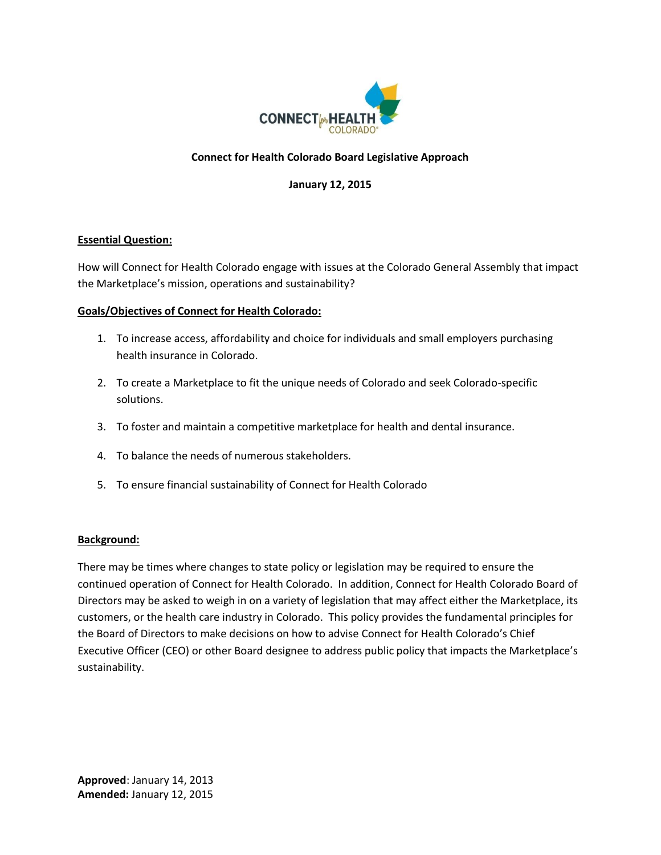

# **Connect for Health Colorado Board Legislative Approach**

### **January 12, 2015**

### **Essential Question:**

How will Connect for Health Colorado engage with issues at the Colorado General Assembly that impact the Marketplace's mission, operations and sustainability?

#### **Goals/Objectives of Connect for Health Colorado:**

- 1. To increase access, affordability and choice for individuals and small employers purchasing health insurance in Colorado.
- 2. To create a Marketplace to fit the unique needs of Colorado and seek Colorado-specific solutions.
- 3. To foster and maintain a competitive marketplace for health and dental insurance.
- 4. To balance the needs of numerous stakeholders.
- 5. To ensure financial sustainability of Connect for Health Colorado

### **Background:**

There may be times where changes to state policy or legislation may be required to ensure the continued operation of Connect for Health Colorado. In addition, Connect for Health Colorado Board of Directors may be asked to weigh in on a variety of legislation that may affect either the Marketplace, its customers, or the health care industry in Colorado. This policy provides the fundamental principles for the Board of Directors to make decisions on how to advise Connect for Health Colorado's Chief Executive Officer (CEO) or other Board designee to address public policy that impacts the Marketplace's sustainability.